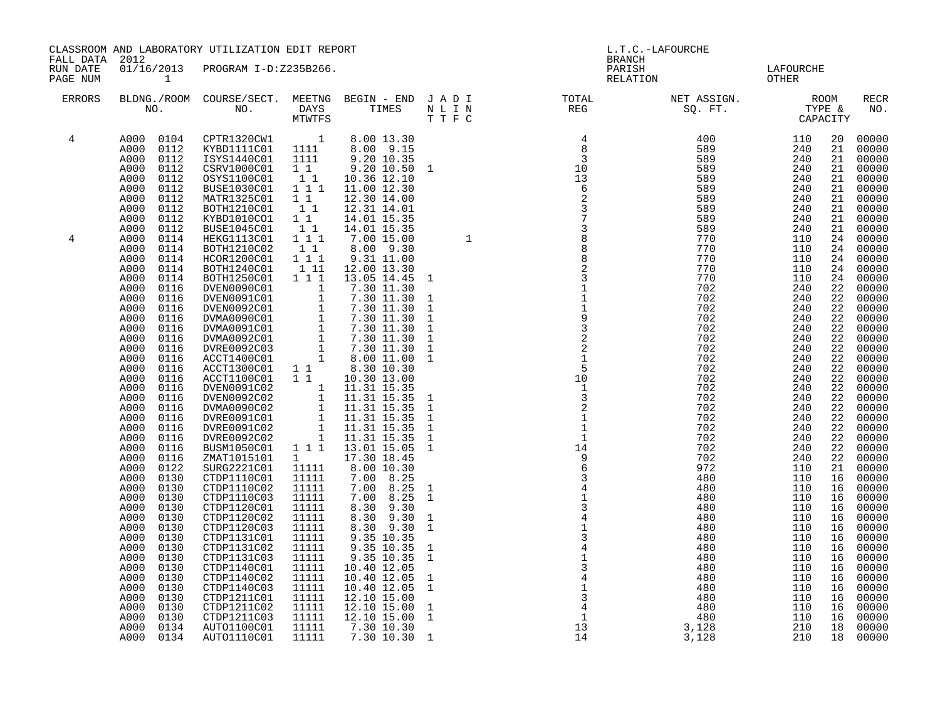| FALL DATA            |                                                                                                                                                                                                                                                                                                                                                                                                                                                                                                                                                                                                                                                                                                                                                                                                                              | CLASSROOM AND LABORATORY UTILIZATION EDIT REPORT                                                                                                                                                                                                                                                                                                                                                                                                                                                                                                                                                                                                                                                                                                                                                                                                                                                                      |  |  | L.T.C.-LAFOURCHE<br><b>BRANCH</b> |                                                                                              |                                           |  |                                                                                                                                                                                                                                                                                                          |                                                                                                                                                                                                                                                                                                                                                                                                                                                                |  |
|----------------------|------------------------------------------------------------------------------------------------------------------------------------------------------------------------------------------------------------------------------------------------------------------------------------------------------------------------------------------------------------------------------------------------------------------------------------------------------------------------------------------------------------------------------------------------------------------------------------------------------------------------------------------------------------------------------------------------------------------------------------------------------------------------------------------------------------------------------|-----------------------------------------------------------------------------------------------------------------------------------------------------------------------------------------------------------------------------------------------------------------------------------------------------------------------------------------------------------------------------------------------------------------------------------------------------------------------------------------------------------------------------------------------------------------------------------------------------------------------------------------------------------------------------------------------------------------------------------------------------------------------------------------------------------------------------------------------------------------------------------------------------------------------|--|--|-----------------------------------|----------------------------------------------------------------------------------------------|-------------------------------------------|--|----------------------------------------------------------------------------------------------------------------------------------------------------------------------------------------------------------------------------------------------------------------------------------------------------------|----------------------------------------------------------------------------------------------------------------------------------------------------------------------------------------------------------------------------------------------------------------------------------------------------------------------------------------------------------------------------------------------------------------------------------------------------------------|--|
| RUN DATE<br>PAGE NUM | 2012<br>$\mathbf{1}$                                                                                                                                                                                                                                                                                                                                                                                                                                                                                                                                                                                                                                                                                                                                                                                                         | 01/16/2013 PROGRAM I-D:Z235B266.                                                                                                                                                                                                                                                                                                                                                                                                                                                                                                                                                                                                                                                                                                                                                                                                                                                                                      |  |  |                                   |                                                                                              | LAFOURCHE<br>OTHER                        |  |                                                                                                                                                                                                                                                                                                          |                                                                                                                                                                                                                                                                                                                                                                                                                                                                |  |
| ERRORS               |                                                                                                                                                                                                                                                                                                                                                                                                                                                                                                                                                                                                                                                                                                                                                                                                                              |                                                                                                                                                                                                                                                                                                                                                                                                                                                                                                                                                                                                                                                                                                                                                                                                                                                                                                                       |  |  |                                   | BLDNG./ROOM COURSE/SECT. MEETNG BEGIN – END JADI TOTAL TOTAL NO. NO. DAYS TIMES NLIN NEG REG | NET ASSIGN.<br>SQ. FT. TYPE &<br>CAPACITY |  |                                                                                                                                                                                                                                                                                                          | RECR<br>NO.                                                                                                                                                                                                                                                                                                                                                                                                                                                    |  |
| 4<br>4               | A000<br>0104<br>0112<br>A000<br>A000<br>0112<br>A000<br>0112<br>A000<br>0112<br>0112<br>A000<br>A000<br>0112<br>A000<br>0112<br>A000<br>0112<br>A000<br>0112<br>A000<br>0114<br>A000<br>0114<br>0114<br>A000<br>A000<br>0114<br>0114<br>A000<br>A000<br>0116<br>A000<br>0116<br>A000<br>0116<br>A000<br>0116<br>A000<br>0116<br>A000<br>0116<br>A000<br>0116<br>A000<br>0116<br>A000<br>0116<br>A000<br>0116<br>A000<br>0116<br>A000<br>0116<br>A000<br>0116<br>A000<br>0116<br>A000<br>0116<br>A000<br>0116<br>A000<br>0116<br>A000<br>0116<br>A000<br>0122<br>A000<br>0130<br>A000<br>0130<br>A000<br>0130<br>A000<br>0130<br>A000<br>0130<br>0130<br>A000<br>A000<br>0130<br>0130<br>A000<br>0130<br>A000<br>A000<br>0130<br>A000<br>0130<br>A000<br>0130<br>A000<br>0130<br>A000<br>0130<br>A000<br>0130<br>A000<br>0134 | CPTR1320CW1 1<br>KYBD1111C01 1111<br>ISYS1440C01<br>CSRV1000C01<br>OSYS1100C01<br>BUSE1030C01<br>MATR1325C01<br>BOTH1210C01<br>KYBD1010CO1<br>BUSE1045C01<br>HEKG1113C01<br>BOTH1210C02<br>HCOR1200C01<br>BOTH1240C01<br>BOTH1250C01<br>BOTH1250C01 1 1 13.05 14.45<br>DVENO090C01 1 7.30 11.30<br>DVENO091C01 1 7.30 11.30<br>DVENO092C01 1 7.30 11.30<br>DVMA0090C01 1 7.30 11.30<br>DVMA0091C01 1 7.30 11.30<br>DVMA0092C01 1 7.30 11.30<br>DVMA0092C01 1 7.30 11.30<br>ACCT1400C01<br>ACCT1300C01 11<br>ACCT1100C01 11<br>DVEN0091C02<br>DVEN0092C02<br>DVMA0090C02<br>DVRE0091C01<br>DVRE0091C02<br>DVRE0092C02<br>BUSM1050C01 111<br>ZMAT1015101<br>SURG2221C01<br>CTDP1110C01<br>CTDP1110C02<br>CTDP1110C03<br>CTDP1120C01<br>CTDP1120C02<br>CTDP1120C03<br>CTDP1131C01<br>CTDP1131C02<br>CTDP1131C03<br>CTDP1140C01<br>CTDP1140C02<br>CTDP1140C03<br>CTDP1211C01<br>CTDP1211C02<br>CTDP1211C03<br>AUTO1100C01 |  |  |                                   |                                                                                              |                                           |  | 20<br>21<br>21<br>21<br>21<br>21<br>21<br>21<br>21<br>21<br>24<br>24<br>24<br>24<br>24<br>22<br>22<br>22<br>22<br>22<br>22<br>22<br>22<br>22<br>22<br>22<br>22<br>22<br>22<br>22<br>22<br>22<br>22<br>21<br>16<br>16<br>16<br>16<br>16<br>16<br>16<br>16<br>16<br>16<br>16<br>16<br>16<br>16<br>16<br>18 | 00000<br>00000<br>00000<br>00000<br>00000<br>00000<br>00000<br>00000<br>00000<br>00000<br>00000<br>00000<br>00000<br>00000<br>00000<br>00000<br>00000<br>00000<br>00000<br>00000<br>00000<br>00000<br>00000<br>00000<br>00000<br>00000<br>00000<br>00000<br>00000<br>00000<br>00000<br>00000<br>00000<br>00000<br>00000<br>00000<br>00000<br>00000<br>00000<br>00000<br>00000<br>00000<br>00000<br>00000<br>00000<br>00000<br>00000<br>00000<br>00000<br>00000 |  |
|                      | A000<br>0134                                                                                                                                                                                                                                                                                                                                                                                                                                                                                                                                                                                                                                                                                                                                                                                                                 | AUTO1110C01                                                                                                                                                                                                                                                                                                                                                                                                                                                                                                                                                                                                                                                                                                                                                                                                                                                                                                           |  |  |                                   |                                                                                              |                                           |  | 18                                                                                                                                                                                                                                                                                                       | 00000                                                                                                                                                                                                                                                                                                                                                                                                                                                          |  |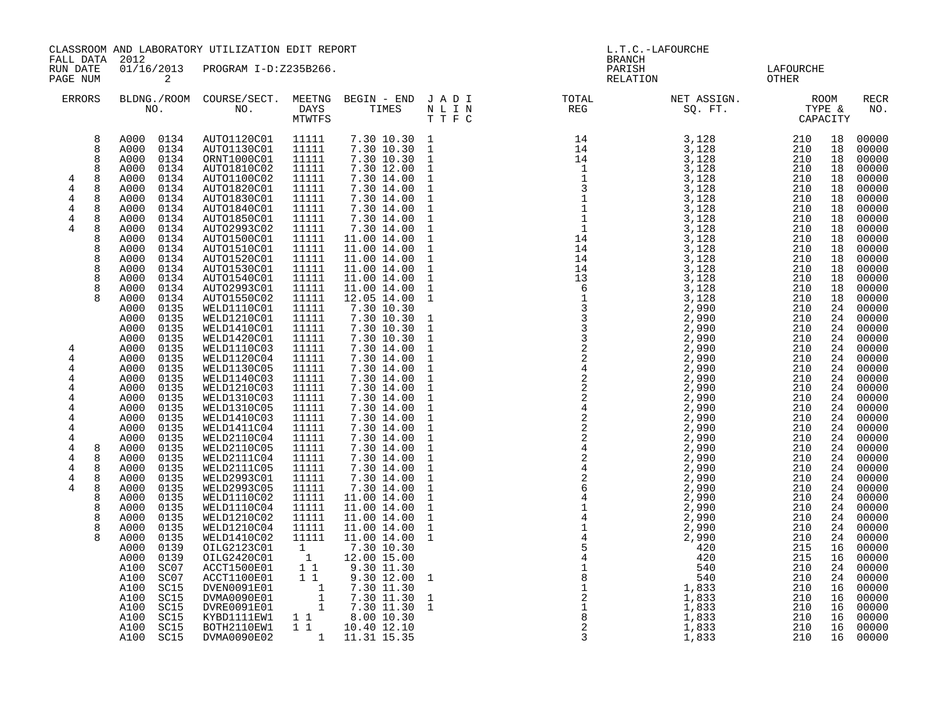|                                                                                                                                                     | CLASSROOM AND LABORATORY UTILIZATION EDIT REPORT<br>FALL DATA 2012                                                                                                                                                                                                                                                                                                                                                                                                                                                                                   |                                                                                                                                                                                                                                                                                                                                                                                                                                                                                              |                                                                                                                                                                                                                                                                                                                                              |                                                                                                                                                                                                                                                                                                                                                                                                                                                                          | L.T.C.-LAFOURCHE                                                                                                                                                                                                                                                                                                                                                                       |                                                                                                                                                                                                                                                                                                                                                                                                                                   |                        |                            |                                                                                                                                                                                              |                                                                                                                                                                                                                                                                                              |
|-----------------------------------------------------------------------------------------------------------------------------------------------------|------------------------------------------------------------------------------------------------------------------------------------------------------------------------------------------------------------------------------------------------------------------------------------------------------------------------------------------------------------------------------------------------------------------------------------------------------------------------------------------------------------------------------------------------------|----------------------------------------------------------------------------------------------------------------------------------------------------------------------------------------------------------------------------------------------------------------------------------------------------------------------------------------------------------------------------------------------------------------------------------------------------------------------------------------------|----------------------------------------------------------------------------------------------------------------------------------------------------------------------------------------------------------------------------------------------------------------------------------------------------------------------------------------------|--------------------------------------------------------------------------------------------------------------------------------------------------------------------------------------------------------------------------------------------------------------------------------------------------------------------------------------------------------------------------------------------------------------------------------------------------------------------------|----------------------------------------------------------------------------------------------------------------------------------------------------------------------------------------------------------------------------------------------------------------------------------------------------------------------------------------------------------------------------------------|-----------------------------------------------------------------------------------------------------------------------------------------------------------------------------------------------------------------------------------------------------------------------------------------------------------------------------------------------------------------------------------------------------------------------------------|------------------------|----------------------------|----------------------------------------------------------------------------------------------------------------------------------------------------------------------------------------------|----------------------------------------------------------------------------------------------------------------------------------------------------------------------------------------------------------------------------------------------------------------------------------------------|
| RUN DATE<br>PAGE NUM                                                                                                                                | $\overline{a}$                                                                                                                                                                                                                                                                                                                                                                                                                                                                                                                                       | 01/16/2013 PROGRAM I-D:Z235B266.                                                                                                                                                                                                                                                                                                                                                                                                                                                             |                                                                                                                                                                                                                                                                                                                                              |                                                                                                                                                                                                                                                                                                                                                                                                                                                                          |                                                                                                                                                                                                                                                                                                                                                                                        | <b>BRANCH</b><br>PARISH                                                                                                                                                                                                                                                                                                                                                                                                           | RELATION               | LAFOURCHE<br>OTHER         |                                                                                                                                                                                              |                                                                                                                                                                                                                                                                                              |
| ERRORS                                                                                                                                              |                                                                                                                                                                                                                                                                                                                                                                                                                                                                                                                                                      | BLDNG./ROOM COURSE/SECT. MEETNG BEGIN – END J A D I TOTAL TOTAL DAYS TIMES N L I N REG REG                                                                                                                                                                                                                                                                                                                                                                                                   | MTWTFS                                                                                                                                                                                                                                                                                                                                       |                                                                                                                                                                                                                                                                                                                                                                                                                                                                          | TTFC                                                                                                                                                                                                                                                                                                                                                                                   |                                                                                                                                                                                                                                                                                                                                                                                                                                   | NET ASSIGN.<br>SQ. FT. | ROOM<br>TYPE &<br>CAPACITY |                                                                                                                                                                                              | RECR<br>NO.                                                                                                                                                                                                                                                                                  |
| 8<br>8<br>8<br>8<br>8<br>4<br>4<br>8<br>4<br>8<br>4<br>8<br>$\overline{4}$<br>8<br>4<br>8<br>8<br>8<br>8<br>8<br>8<br>8<br>8                        | A000 0134<br>A000<br>0134<br>0134<br>A000<br>A000<br>0134<br>0134<br>A000<br>0134<br>A000<br>A000<br>0134<br>0134<br>A000<br>0134<br>A000<br>A000<br>0134<br>0134<br>A000<br>0134<br>A000<br>0134<br>A000<br>A000<br>0134<br>0134<br>A000<br>0134<br>A000<br>0134<br>A000<br>A000<br>0135<br>A000<br>0135                                                                                                                                                                                                                                            | AUTO1120C01 11111<br>AUTO1130C01<br>ORNT1000C01<br>AUTO1810C02<br>AUTO1100C02<br>AUTO1820C01<br>AUTO1830C01<br>AUTO1840C01<br>AUTO1850C01<br>AUTO2993C02<br>AUTO1500C01<br>AUTO1510C01<br>AUTO1520C01<br>AUTO1530C01<br>AUTO1540C01<br>AUTO2993C01<br>AUTO1550C02<br>WELD1110C01<br>WELD1210C01                                                                                                                                                                                              | 11111<br>11111<br>11111<br>11111<br>11111<br>11111<br>11111<br>11111<br>11111<br>11111<br>11111<br>11111<br>11111<br>11111<br>11111<br>11111<br>11111<br>11111                                                                                                                                                                               | 7.30 10.30 1<br>7.30 10.30 1<br>7.30 10.30<br>7.30 12.00<br>7.30 14.00<br>7.30 14.00<br>7.30 14.00<br>7.30 14.00<br>$7.30$ 14.00<br>7.30 14.00<br>11.00 14.00<br>11.00 14.00<br>11.00 14.00<br>11.00 14.00<br>11.00 14.00<br>11.00 14.00<br>12.05 14.00<br>7.30 10.30<br>7.30 10.30                                                                                                                                                                                      | $\mathbf{1}$<br>$\mathbf{1}$<br>$\mathbf{1}$<br>$\mathbf{1}$<br>$\mathbf{1}$<br>$\mathbf{1}$<br>$1\,$<br>$\mathbf{1}$<br>$\mathbf{1}$<br>$\mathbf{1}$<br>$\mathbf{1}$<br>$1\,$<br>$\mathbf{1}$<br>$\mathbf 1$<br>$\mathbf{1}$<br>$\mathbf{1}$                                                                                                                                          |                                                                                                                                                                                                                                                                                                                                                                                                                                   |                        |                            | 18<br>18<br>18<br>18<br>18<br>18<br>18<br>18<br>18<br>18<br>18<br>18<br>18<br>18<br>18<br>18<br>18<br>24<br>24                                                                               | 00000<br>00000<br>00000<br>00000<br>00000<br>00000<br>00000<br>00000<br>00000<br>00000<br>00000<br>00000<br>00000<br>00000<br>00000<br>00000<br>00000<br>00000<br>00000                                                                                                                      |
| 4<br>4<br>4<br>4<br>4<br>4<br>4<br>4<br>4<br>4<br>4<br>8<br>4<br>8<br>$\overline{4}$<br>8<br>$\overline{4}$<br>8<br>4<br>8<br>8<br>8<br>8<br>8<br>8 | A000<br>0135<br>A000<br>0135<br>A000<br>0135<br>0135<br>A000<br>0135<br>A000<br>A000<br>0135<br>A000<br>0135<br>A000<br>0135<br>0135<br>A000<br>A000<br>0135<br>A000<br>0135<br>0135<br>A000<br>A000<br>0135<br>A000<br>0135<br>A000<br>0135<br>0135<br>A000<br>A000<br>0135<br>0135<br>A000<br>0135<br>A000<br>0135<br>A000<br>0135<br>A000<br>A000<br>0135<br>0139<br>A000<br>0139<br>A000<br>A100<br>SC <sub>07</sub><br>SC <sub>07</sub><br>A100<br>SC15<br>A100<br>SC15<br>A100<br>SC15<br>A100<br>A100<br>SC15<br>SC15<br>A100<br>SC15<br>A100 | WELD1410C01<br>WELD1420C01<br>WELD1110C03<br>WELD1120C04<br>WELD1130C05<br>WELD1140C03<br>WELD1210C03<br>WELD1310C03<br>WELD1310C05<br>WELD1410C03<br>WELD1411C04<br>WELD2110C04<br>WELD2110C05<br>WELD2111C04<br>WELD2111C05<br>WELD2993C01<br>WELD2993C05<br>WELD1110C02<br>WELD1110C04<br>WELD1210C02<br>WELD1210C04<br>WELD1410C02<br>OILG2123C01<br>OILG2420C01<br>ACCT1500E01<br>ACCT1100E01<br>DVEN0091E01<br>DVMA0090E01<br>DVRE0091E01<br>KYBD1111EW1<br>BOTH2110EW1<br>DVMA0090E02 | 11111<br>11111<br>11111<br>11111<br>11111<br>11111<br>11111<br>11111<br>11111<br>11111<br>11111<br>11111<br>11111<br>11111<br>11111<br>11111<br>11111<br>11111<br>11111<br>11111<br>11111<br>11111<br>$\mathbf{1}$<br>1<br>11<br>$1\quad1$<br>$\begin{bmatrix} 1 \\ 1 \\ 1 \end{bmatrix}$<br>$\begin{array}{ccc} 1 & 1 \\ 1 & 1 \end{array}$ | 7.30 10.30<br>7.30 10.30<br>$7.30$ 14.00<br>7.30 14.00<br>7.30 14.00<br>7.30 14.00<br>7.30 14.00<br>7.30 14.00<br>7.30 14.00<br>7.30 14.00<br>7.30 14.00<br>7.30 14.00<br>7.30 14.00<br>7.30 14.00<br>7.30 14.00<br>7.30 14.00<br>7.30 14.00<br>11.00 14.00<br>11.00 14.00<br>11.00 14.00<br>11.00 14.00<br>11.00 14.00<br>7.30 10.30<br>12.00 15.00<br>9.30 11.30<br>9.30 12.00<br>7.30 11.30<br>7.30 11.30<br>7.30 11.30<br>8.00 10.30<br>10.40 12.10<br>1 11.31 15.35 | $\mathbf{1}$<br>$\mathbf{1}$<br>$\mathbf{1}$<br>$\mathbf{1}$<br>$\mathbf{1}$<br>$\mathbf{1}$<br>$\mathbf{1}$<br>$\mathbf{1}$<br>$\mathbf{1}$<br>$\mathbf{1}$<br>$\mathbf{1}$<br>$\mathbf{1}$<br>$\mathbf{1}$<br>$\mathbf{1}$<br>$\mathbf{1}$<br>$\mathbf{1}$<br>$\mathbf{1}$<br>$\mathbf{1}$<br>$\mathbf{1}$<br>$\mathbf{1}$<br>$\mathbf{1}$<br>$\mathbf{1}$<br>1<br>$\mathbf{1}$<br>1 | $\begin{array}{cccc} \text{L} & \text{L} & \text{R} & \text{R} & \text{R} & \text{R} & \text{R} & \text{R} & \text{R} & \text{R} & \text{R} \\ \text{R} & \text{R} & \text{R} & \text{R} & \text{R} & \text{R} & \text{R} & \text{R} \\ \text{R} & \text{R} & \text{R} & \text{R} & \text{R} & \text{R} & \text{R} \\ \text{R} & \text{R} & \text{R} & \text{R} & \text{R} & \text{R} & \text{R} \\ \text{R} & \text{R} & \text{$ |                        |                            | 24<br>24<br>24<br>24<br>24<br>24<br>24<br>24<br>24<br>24<br>24<br>24<br>24<br>24<br>24<br>24<br>24<br>24<br>24<br>24<br>24<br>24<br>16<br>16<br>24<br>24<br>16<br>16<br>16<br>16<br>16<br>16 | 00000<br>00000<br>00000<br>00000<br>00000<br>00000<br>00000<br>00000<br>00000<br>00000<br>00000<br>00000<br>00000<br>00000<br>00000<br>00000<br>00000<br>00000<br>00000<br>00000<br>00000<br>00000<br>00000<br>00000<br>00000<br>00000<br>00000<br>00000<br>00000<br>00000<br>00000<br>00000 |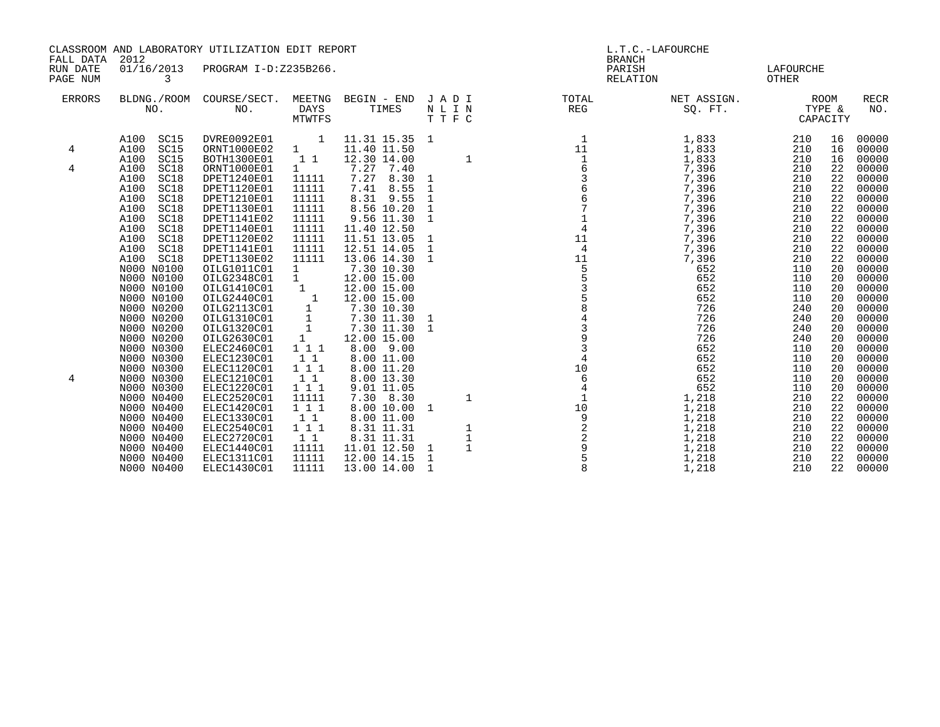| FALL DATA<br>RUN DATE<br>PAGE NUM | 2012<br>01/16/2013<br>3                                                                                                                                                                                                                                                                                                                                                                                                                                                                | CLASSROOM AND LABORATORY UTILIZATION EDIT REPORT<br>PROGRAM I-D:Z235B266.                                                                                                                                                                                                                                                                                                                                                                                                                    |                                                                                                                                                                                                                                                                                                                                                           |                                                                                                                                                                                                                                                                                                                                                                                                                                                                               |                                                                | <b>BRANCH</b><br>PARISH<br>RELATION | L.T.C.-LAFOURCHE                                                                                                                                                                                                                                                   | LAFOURCHE<br><b>OTHER</b>                                                                                                                                                                                                    |                                                                                                                                                                                              |                                                                                                                                                                                                                                                                                              |
|-----------------------------------|----------------------------------------------------------------------------------------------------------------------------------------------------------------------------------------------------------------------------------------------------------------------------------------------------------------------------------------------------------------------------------------------------------------------------------------------------------------------------------------|----------------------------------------------------------------------------------------------------------------------------------------------------------------------------------------------------------------------------------------------------------------------------------------------------------------------------------------------------------------------------------------------------------------------------------------------------------------------------------------------|-----------------------------------------------------------------------------------------------------------------------------------------------------------------------------------------------------------------------------------------------------------------------------------------------------------------------------------------------------------|-------------------------------------------------------------------------------------------------------------------------------------------------------------------------------------------------------------------------------------------------------------------------------------------------------------------------------------------------------------------------------------------------------------------------------------------------------------------------------|----------------------------------------------------------------|-------------------------------------|--------------------------------------------------------------------------------------------------------------------------------------------------------------------------------------------------------------------------------------------------------------------|------------------------------------------------------------------------------------------------------------------------------------------------------------------------------------------------------------------------------|----------------------------------------------------------------------------------------------------------------------------------------------------------------------------------------------|----------------------------------------------------------------------------------------------------------------------------------------------------------------------------------------------------------------------------------------------------------------------------------------------|
| <b>ERRORS</b>                     | BLDNG./ROOM<br>NO.                                                                                                                                                                                                                                                                                                                                                                                                                                                                     | COURSE/SECT.<br>NO.                                                                                                                                                                                                                                                                                                                                                                                                                                                                          | MEETNG<br>DAYS<br>MTWTFS                                                                                                                                                                                                                                                                                                                                  | BEGIN - END JADI<br>TIMES                                                                                                                                                                                                                                                                                                                                                                                                                                                     | N L I N<br>TTFC                                                | TOTAL<br>REG                        | NET ASSIGN.<br>SQ. FT.                                                                                                                                                                                                                                             | TYPE &<br>CAPACITY                                                                                                                                                                                                           | ROOM                                                                                                                                                                                         | <b>RECR</b><br>NO.                                                                                                                                                                                                                                                                           |
| 4<br>4<br>4                       | SC15<br>A100<br>A100<br>SC15<br>A100<br>SC15<br>A100<br>SC18<br>SC18<br>A100<br>A100<br>SC18<br>SC18<br>A100<br>A100<br>SC18<br>SC18<br>A100<br>A100<br>SC18<br>A100<br>SC18<br>SC18<br>A100<br>SC18<br>A100<br>N000 N0100<br>N000 N0100<br>N000 N0100<br>N000 N0100<br>N000 N0200<br>N000 N0200<br>N000 N0200<br>N000 N0200<br>N000 N0300<br>N000 N0300<br>N000 N0300<br>N000 N0300<br>N000 N0300<br>N000 N0400<br>N000 N0400<br>N000 N0400<br>N000 N0400<br>N000 N0400<br>N000 N0400 | DVRE0092E01<br>ORNT1000E02<br>BOTH1300E01<br>ORNT1000E01<br>DPET1240E01<br>DPET1120E01<br>DPET1210E01<br>DPET1130E01<br>DPET1141E02<br>DPET1140E01<br>DPET1120E02<br>DPET1141E01<br>DPET1130E02<br>OILG1011C01<br>OILG2348C01<br>OILG1410C01<br>OILG2440C01<br>OILG2113C01<br>OILG1310C01<br>OILG1320C01<br>OILG2630C01<br>ELEC2460C01<br>ELEC1230C01<br>ELEC1120C01<br>ELEC1210C01<br>ELEC1220C01<br>ELEC2520C01<br>ELEC1420C01<br>ELEC1330C01<br>ELEC2540C01<br>ELEC2720C01<br>ELEC1440C01 | $\mathbf{1}$<br>$1 \quad \blacksquare$<br>$1\quad1$<br>$1 \quad \blacksquare$<br>11111<br>11111<br>11111<br>11111<br>11111<br>11111<br>11111<br>11111<br>11111<br>$1 \quad$<br>1<br>1<br>$\overline{\phantom{0}}$ 1<br>$\mathbf{1}$<br>$\mathbf{1}$<br>$\mathbf{1}$<br>1<br>1 1 1<br>11<br>111<br>11<br>111<br>11111<br>111<br>1 1<br>111<br>1 1<br>11111 | 11.31 15.35 1<br>11.40 11.50<br>12.30 14.00<br>7.27 7.40<br>7.27<br>8.30<br>7.41 8.55<br>8.31 9.55<br>8.56 10.20<br>9.56 11.30<br>11.40 12.50<br>11.51 13.05<br>12.51 14.05<br>13.06 14.30<br>7.30 10.30<br>12.00 15.00<br>12.00 15.00<br>12.00 15.00<br>7.30 10.30<br>7.30 11.30<br>7.30 11.30<br>12.00 15.00<br>$8.00$ $9.00$<br>8.00 11.00<br>8.00 11.20<br>8.00 13.30<br>9.01 11.05<br>7.30 8.30<br>8.00 10.00 1<br>8.00 11.00<br>8.31 11.31<br>8.31 11.31<br>11.01 12.50 | 1<br>1<br>1<br>$\mathbf{1}$<br>1<br>1<br>1<br>1<br>1<br>1<br>1 |                                     | 1,833<br>1,833<br>1,833<br>7,396<br>7,396<br>7,396<br>7,396<br>7,396<br>7,396<br>7,396<br>7,396<br>7,396<br>7,396<br>652<br>652<br>652<br>652<br>726<br>726<br>726<br>726<br>652<br>652<br>652<br>652<br>652<br>1,218<br>1,218<br>1,218<br>1,218<br>1,218<br>1,218 | 210<br>210<br>210<br>210<br>210<br>210<br>210<br>210<br>210<br>210<br>210<br>210<br>210<br>110<br>110<br>110<br>110<br>240<br>240<br>240<br>240<br>110<br>110<br>110<br>110<br>110<br>210<br>210<br>210<br>210<br>210<br>210 | 16<br>16<br>16<br>22<br>22<br>22<br>22<br>22<br>22<br>22<br>22<br>22<br>22<br>20<br>20<br>20<br>20<br>20<br>20<br>20<br>20<br>20<br>20<br>20<br>20<br>20<br>22<br>22<br>22<br>22<br>22<br>22 | 00000<br>00000<br>00000<br>00000<br>00000<br>00000<br>00000<br>00000<br>00000<br>00000<br>00000<br>00000<br>00000<br>00000<br>00000<br>00000<br>00000<br>00000<br>00000<br>00000<br>00000<br>00000<br>00000<br>00000<br>00000<br>00000<br>00000<br>00000<br>00000<br>00000<br>00000<br>00000 |
|                                   | N000 N0400<br>N000 N0400                                                                                                                                                                                                                                                                                                                                                                                                                                                               | ELEC1311C01<br>ELEC1430C01                                                                                                                                                                                                                                                                                                                                                                                                                                                                   | 11111<br>11111                                                                                                                                                                                                                                                                                                                                            | 12.00 14.15<br>13.00 14.00                                                                                                                                                                                                                                                                                                                                                                                                                                                    | 1<br>1                                                         |                                     | 1,218<br>1,218                                                                                                                                                                                                                                                     | 210<br>210                                                                                                                                                                                                                   | 22<br>22                                                                                                                                                                                     | 00000<br>00000                                                                                                                                                                                                                                                                               |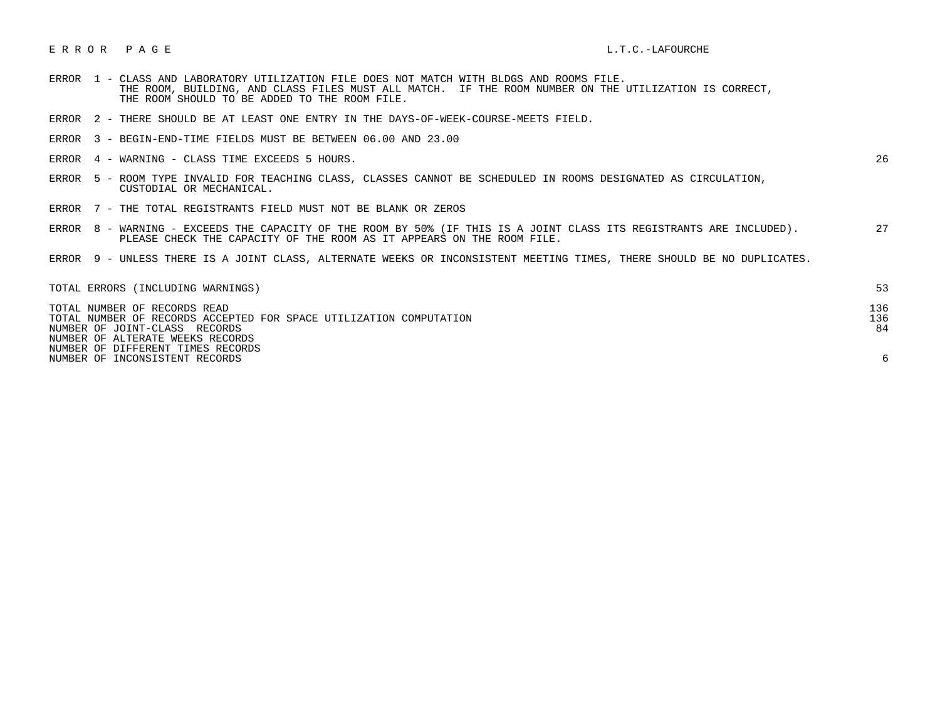## E R R O R P A G E L.T.C. -LAFOURCHE

- ERROR 1 CLASS AND LABORATORY UTILIZATION FILE DOES NOT MATCH WITH BLDGS AND ROOMS FILE. THE ROOM, BUILDING, AND CLASS FILES MUST ALL MATCH. IF THE ROOM NUMBER ON THE UTILIZATION IS CORRECT, THE ROOM SHOULD TO BE ADDED TO THE ROOM FILE.
- ERROR 2 THERE SHOULD BE AT LEAST ONE ENTRY IN THE DAYS-OF-WEEK-COURSE-MEETS FIELD.
- ERROR 3 BEGIN-END-TIME FIELDS MUST BE BETWEEN 06.00 AND 23.00
- ERROR 4 WARNING CLASS TIME EXCEEDS 5 HOURS. 26

- ERROR 5 ROOM TYPE INVALID FOR TEACHING CLASS, CLASSES CANNOT BE SCHEDULED IN ROOMS DESIGNATED AS CIRCULATION, CUSTODIAL OR MECHANICAL.
- ERROR 7 THE TOTAL REGISTRANTS FIELD MUST NOT BE BLANK OR ZEROS
- ERROR 8 WARNING EXCEEDS THE CAPACITY OF THE ROOM BY 50% (IF THIS IS A JOINT CLASS ITS REGISTRANTS ARE INCLUDED). 27 PLEASE CHECK THE CAPACITY OF THE ROOM AS IT APPEARS ON THE ROOM FILE.
- ERROR 9 UNLESS THERE IS A JOINT CLASS, ALTERNATE WEEKS OR INCONSISTENT MEETING TIMES, THERE SHOULD BE NO DUPLICATES.

| TOTAL ERRORS (INCLUDING WARNINGS)                                  | 53  |
|--------------------------------------------------------------------|-----|
| TOTAL NUMBER OF RECORDS READ                                       | 136 |
| TOTAL NUMBER OF RECORDS ACCEPTED FOR SPACE UTILIZATION COMPUTATION | 136 |
| NUMBER OF JOINT-CLASS RECORDS                                      | 84  |
| NUMBER OF ALTERATE WEEKS RECORDS                                   |     |
| NUMBER OF DIFFERENT TIMES RECORDS                                  |     |
| NUMBER OF INCONSISTENT RECORDS                                     |     |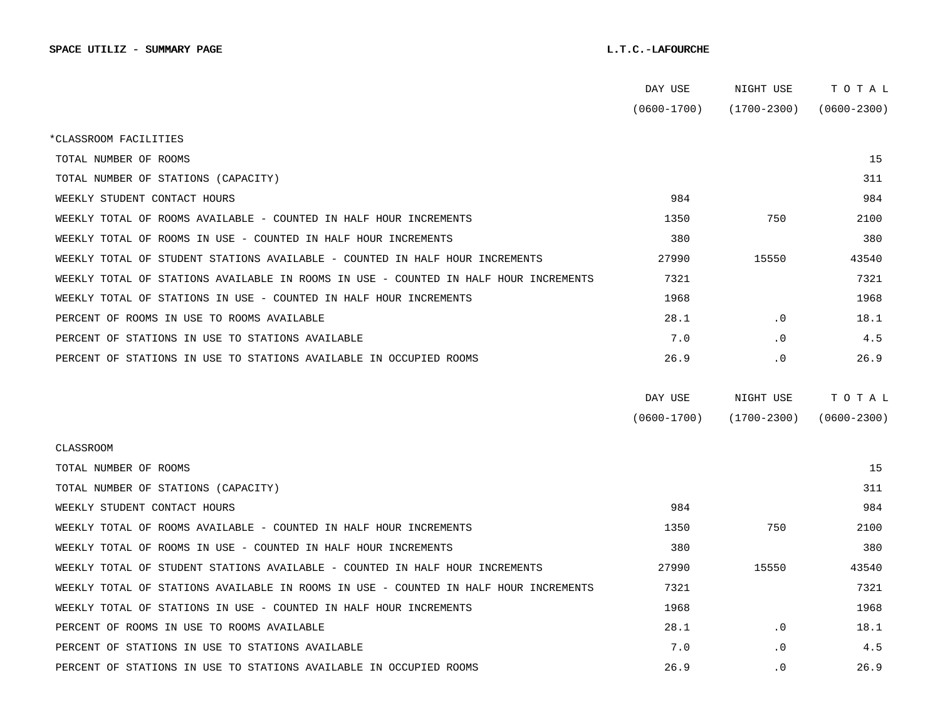|                                                                                      | DAY USE         | NIGHT USE       | тотаь           |  |
|--------------------------------------------------------------------------------------|-----------------|-----------------|-----------------|--|
|                                                                                      | $(0600 - 1700)$ | $(1700 - 2300)$ | $(0600 - 2300)$ |  |
| *CLASSROOM FACILITIES                                                                |                 |                 |                 |  |
| TOTAL NUMBER OF ROOMS                                                                |                 |                 | 15              |  |
| TOTAL NUMBER OF STATIONS (CAPACITY)                                                  |                 |                 | 311             |  |
| WEEKLY STUDENT CONTACT HOURS                                                         | 984             |                 | 984             |  |
| WEEKLY TOTAL OF ROOMS AVAILABLE - COUNTED IN HALF HOUR INCREMENTS                    | 1350            | 750             | 2100            |  |
| WEEKLY TOTAL OF ROOMS IN USE - COUNTED IN HALF HOUR INCREMENTS                       | 380             |                 | 380             |  |
| WEEKLY TOTAL OF STUDENT STATIONS AVAILABLE - COUNTED IN HALF HOUR INCREMENTS         | 27990           | 15550           | 43540           |  |
| WEEKLY TOTAL OF STATIONS AVAILABLE IN ROOMS IN USE - COUNTED IN HALF HOUR INCREMENTS | 7321            |                 | 7321            |  |
| WEEKLY TOTAL OF STATIONS IN USE - COUNTED IN HALF HOUR INCREMENTS                    | 1968            |                 | 1968            |  |
| PERCENT OF ROOMS IN USE TO ROOMS AVAILABLE                                           | 28.1            | $\cdot$ 0       | 18.1            |  |
| PERCENT OF STATIONS IN USE TO STATIONS AVAILABLE                                     | 7.0             | $\cdot$ 0       | 4.5             |  |
| PERCENT OF STATIONS IN USE TO STATIONS AVAILABLE IN OCCUPIED ROOMS                   | 26.9            | $\cdot$ 0       | 26.9            |  |
|                                                                                      |                 |                 |                 |  |
|                                                                                      | DAY USE         | NIGHT USE       | TOTAL           |  |
|                                                                                      | $(0600 - 1700)$ | $(1700 - 2300)$ | $(0600 - 2300)$ |  |
| CLASSROOM                                                                            |                 |                 |                 |  |
| TOTAL NUMBER OF ROOMS                                                                |                 |                 | 15              |  |
| TOTAL NUMBER OF STATIONS (CAPACITY)                                                  |                 |                 | 311             |  |
| WEEKLY STUDENT CONTACT HOURS                                                         | 984             |                 | 984             |  |
| WEEKLY TOTAL OF ROOMS AVAILABLE - COUNTED IN HALF HOUR INCREMENTS                    | 1350            | 750             | 2100            |  |
| WEEKLY TOTAL OF ROOMS IN USE - COUNTED IN HALF HOUR INCREMENTS                       | 380             |                 | 380             |  |
| WEEKLY TOTAL OF STUDENT STATIONS AVAILABLE - COUNTED IN HALF HOUR INCREMENTS         | 27990           | 15550           | 43540           |  |
| WEEKLY TOTAL OF STATIONS AVAILABLE IN ROOMS IN USE - COUNTED IN HALF HOUR INCREMENTS | 7321            |                 | 7321            |  |
| WEEKLY TOTAL OF STATIONS IN USE - COUNTED IN HALF HOUR INCREMENTS                    | 1968            |                 | 1968            |  |
| PERCENT OF ROOMS IN USE TO ROOMS AVAILABLE                                           | 28.1            | $\cdot$ 0       | 18.1            |  |
| PERCENT OF STATIONS IN USE TO STATIONS AVAILABLE                                     | 7.0             | $\cdot$ 0       | 4.5             |  |
| PERCENT OF STATIONS IN USE TO STATIONS AVAILABLE IN OCCUPIED ROOMS                   | 26.9            | $\cdot$ 0       | 26.9            |  |